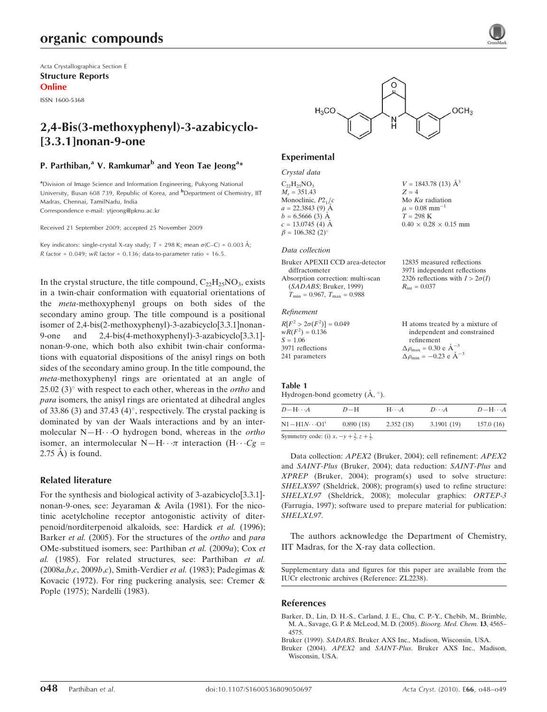Acta Crystallographica Section E Structure Reports Online

ISSN 1600-5368

# 2,4-Bis(3-methoxyphenyl)-3-azabicyclo- [3.3.1]nonan-9-one

# P. Parthiban,<sup>a</sup> V. Ramkumar<sup>b</sup> and Yeon Tae Jeong<sup>a</sup>\*

<sup>a</sup>Division of Image Science and Information Engineering, Pukyong National University, Busan 608 739, Republic of Korea, and <sup>b</sup>Department of Chemistry, IIT Madras, Chennai, TamilNadu, India

Correspondence e-mail: ytjeong@pknu.ac.kr

Received 21 September 2009; accepted 25 November 2009

Key indicators: single-crystal X-ray study;  $T = 298$  K; mean  $\sigma$ (C–C) = 0.003 Å; R factor =  $0.049$ ; wR factor =  $0.136$ ; data-to-parameter ratio =  $16.5$ .

In the crystal structure, the title compound,  $C_{22}H_{25}NO_3$ , exists in a twin-chair conformation with equatorial orientations of the meta-methoxyphenyl groups on both sides of the secondary amino group. The title compound is a positional isomer of 2,4-bis(2-methoxyphenyl)-3-azabicyclo[3.3.1]nonan-9-one and 2,4-bis(4-methoxyphenyl)-3-azabicyclo[3.3.1] nonan-9-one, which both also exhibit twin-chair conformations with equatorial dispositions of the anisyl rings on both sides of the secondary amino group. In the title compound, the meta-methoxyphenyl rings are orientated at an angle of 25.02 (3) $^{\circ}$  with respect to each other, whereas in the *ortho* and para isomers, the anisyl rings are orientated at dihedral angles of 33.86 (3) and 37.43 (4)°, respectively. The crystal packing is dominated by van der Waals interactions and by an intermolecular  $N-H\cdots O$  hydrogen bond, whereas in the *ortho* isomer, an intermolecular N-H $\cdots \pi$  interaction (H $\cdots Cg$  =  $2.75$  Å) is found.

# Related literature

For the synthesis and biological activity of 3-azabicyclo[3.3.1] nonan-9-ones, see: Jeyaraman & Avila (1981). For the nicotinic acetylcholine receptor antogonistic activity of diterpenoid/norditerpenoid alkaloids, see: Hardick et al. (1996); Barker et al. (2005). For the structures of the *ortho* and *para* OMe-substitued isomers, see: Parthiban et al. (2009a); Cox et al. (1985). For related structures, see: Parthiban et al. (2008a,b,c, 2009b,c), Smith-Verdier et al. (1983); Padegimas & Kovacic (1972). For ring puckering analysis, see: Cremer & Pople (1975); Nardelli (1983).



 $V = 1843.78(13)$   $\AA^3$ 

 $0.40 \times 0.28 \times 0.15$  mm

 $Z = 4$ Mo  $K\alpha$  radiation  $\mu = 0.08$  mm<sup>-1</sup>  $T = 298 \text{ K}$ 

# Experimental

Crystal data  $C_{22}H_{25}NO_3$  $M_r = 351.43$ Monoclinic,  $P2<sub>1</sub>/c$  $a = 22.3843(9)$  Å  $b = 6.5666(3)$  Å  $c = 13.0745(4)$  Å  $\beta = 106.382 \ (2)^{\circ}$ 

#### Data collection

| Bruker APEXII CCD area-detector      | 12835 measured reflections             |
|--------------------------------------|----------------------------------------|
| diffractometer                       | 3971 independent reflections           |
| Absorption correction: multi-scan    | 2326 reflections with $I > 2\sigma(I)$ |
| (SADABS; Bruker, 1999)               | $R_{\rm int} = 0.037$                  |
| $T_{\min} = 0.967, T_{\max} = 0.988$ |                                        |
|                                      |                                        |

#### Refinement

| $R[F^2 > 2\sigma(F^2)] = 0.049$ | H atoms treated by a mixture of                    |
|---------------------------------|----------------------------------------------------|
| $wR(F^2) = 0.136$               | independent and constrained                        |
| $S = 1.06$                      | refinement                                         |
| 3971 reflections                | $\Delta \rho_{\text{max}} = 0.30 \text{ e A}^{-3}$ |
| 241 parameters                  | $\Delta \rho_{\text{min}} = -0.23$ e $\AA^{-3}$    |

## Table 1

Hydrogen-bond geometry  $(\AA, \degree)$ .

| $D$ $\rightarrow$ $H \cdots A$                                  | $D-H$     | $H\cdots A$ | $D\cdots A$ | $D - H \cdots A$ |
|-----------------------------------------------------------------|-----------|-------------|-------------|------------------|
| $N1 - H1N \cdots O1$ <sup>1</sup>                               | 0.890(18) | 2.352(18)   | 3.1901(19)  | 157.0(16)        |
| Symmetry code: (i) $r = v \pm \frac{3}{2} \tau \pm \frac{1}{2}$ |           |             |             |                  |

Symmetry code: (i)  $x, -y + \frac{3}{2}, z + \frac{1}{2}$ .

Data collection: APEX2 (Bruker, 2004); cell refinement: APEX2 and SAINT-Plus (Bruker, 2004); data reduction: SAINT-Plus and XPREP (Bruker, 2004); program(s) used to solve structure: SHELXS97 (Sheldrick, 2008); program(s) used to refine structure: SHELXL97 (Sheldrick, 2008); molecular graphics: ORTEP-3 (Farrugia, 1997); software used to prepare material for publication: SHELXL97.

The authors acknowledge the Department of Chemistry, IIT Madras, for the X-ray data collection.

Supplementary data and figures for this paper are available from the IUCr electronic archives (Reference: ZL2238).

## References

- [Barker, D., Lin, D. H.-S., Carland, J. E., Chu, C. P.-Y., Chebib, M., Brimble,](http://scripts.iucr.org/cgi-bin/cr.cgi?rm=pdfbb&cnor=zl2238&bbid=BB1) [M. A., Savage, G. P. & McLeod, M. D. \(2005\).](http://scripts.iucr.org/cgi-bin/cr.cgi?rm=pdfbb&cnor=zl2238&bbid=BB1) Bioorg. Med. Chem. 13, 4565– [4575.](http://scripts.iucr.org/cgi-bin/cr.cgi?rm=pdfbb&cnor=zl2238&bbid=BB1)
- Bruker (1999). SADABS[. Bruker AXS Inc., Madison, Wisconsin, USA.](http://scripts.iucr.org/cgi-bin/cr.cgi?rm=pdfbb&cnor=zl2238&bbid=BB2)

Bruker (2004). APEX2 and SAINT-Plus[. Bruker AXS Inc., Madison,](http://scripts.iucr.org/cgi-bin/cr.cgi?rm=pdfbb&cnor=zl2238&bbid=BB3) [Wisconsin, USA.](http://scripts.iucr.org/cgi-bin/cr.cgi?rm=pdfbb&cnor=zl2238&bbid=BB3)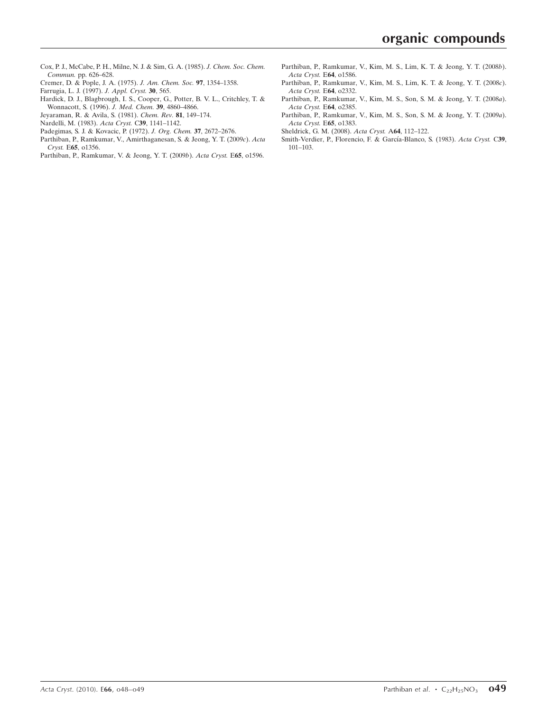- [Cox, P. J., McCabe, P. H., Milne, N. J. & Sim, G. A. \(1985\).](http://scripts.iucr.org/cgi-bin/cr.cgi?rm=pdfbb&cnor=zl2238&bbid=BB4) J. Chem. Soc. Chem. Commun. [pp. 626–628.](http://scripts.iucr.org/cgi-bin/cr.cgi?rm=pdfbb&cnor=zl2238&bbid=BB4)
- [Cremer, D. & Pople, J. A. \(1975\).](http://scripts.iucr.org/cgi-bin/cr.cgi?rm=pdfbb&cnor=zl2238&bbid=BB5) J. Am. Chem. Soc. 97, 1354–1358.
- [Farrugia, L. J. \(1997\).](http://scripts.iucr.org/cgi-bin/cr.cgi?rm=pdfbb&cnor=zl2238&bbid=BB6) J. Appl. Cryst. 30, 565.
- [Hardick, D. J., Blagbrough, I. S., Cooper, G., Potter, B. V. L., Critchley, T. &](http://scripts.iucr.org/cgi-bin/cr.cgi?rm=pdfbb&cnor=zl2238&bbid=BB7) [Wonnacott, S. \(1996\).](http://scripts.iucr.org/cgi-bin/cr.cgi?rm=pdfbb&cnor=zl2238&bbid=BB7) J. Med. Chem. 39, 4860–4866.
- [Jeyaraman, R. & Avila, S. \(1981\).](http://scripts.iucr.org/cgi-bin/cr.cgi?rm=pdfbb&cnor=zl2238&bbid=BB8) Chem. Rev. 81, 149–174.
- [Nardelli, M. \(1983\).](http://scripts.iucr.org/cgi-bin/cr.cgi?rm=pdfbb&cnor=zl2238&bbid=BB9) Acta Cryst. C39, 1141–1142.
- [Padegimas, S. J. & Kovacic, P. \(1972\).](http://scripts.iucr.org/cgi-bin/cr.cgi?rm=pdfbb&cnor=zl2238&bbid=BB10) J. Org. Chem. 37, 2672–2676.
- [Parthiban, P., Ramkumar, V., Amirthaganesan, S. & Jeong, Y. T. \(2009](http://scripts.iucr.org/cgi-bin/cr.cgi?rm=pdfbb&cnor=zl2238&bbid=BB11)c). Acta Cryst. E65[, o1356.](http://scripts.iucr.org/cgi-bin/cr.cgi?rm=pdfbb&cnor=zl2238&bbid=BB11)
- [Parthiban, P., Ramkumar, V. & Jeong, Y. T. \(2009](http://scripts.iucr.org/cgi-bin/cr.cgi?rm=pdfbb&cnor=zl2238&bbid=BB12)b). Acta Cryst. E65, o1596.
- [Parthiban, P., Ramkumar, V., Kim, M. S., Lim, K. T. & Jeong, Y. T. \(2008](http://scripts.iucr.org/cgi-bin/cr.cgi?rm=pdfbb&cnor=zl2238&bbid=BB13)b). [Acta Cryst.](http://scripts.iucr.org/cgi-bin/cr.cgi?rm=pdfbb&cnor=zl2238&bbid=BB13) E64, o1586.
- [Parthiban, P., Ramkumar, V., Kim, M. S., Lim, K. T. & Jeong, Y. T. \(2008](http://scripts.iucr.org/cgi-bin/cr.cgi?rm=pdfbb&cnor=zl2238&bbid=BB14)c). [Acta Cryst.](http://scripts.iucr.org/cgi-bin/cr.cgi?rm=pdfbb&cnor=zl2238&bbid=BB14) E64, o2332.
- [Parthiban, P., Ramkumar, V., Kim, M. S., Son, S. M. & Jeong, Y. T. \(2008](http://scripts.iucr.org/cgi-bin/cr.cgi?rm=pdfbb&cnor=zl2238&bbid=BB15)a). [Acta Cryst.](http://scripts.iucr.org/cgi-bin/cr.cgi?rm=pdfbb&cnor=zl2238&bbid=BB15) E64, o2385.
- [Parthiban, P., Ramkumar, V., Kim, M. S., Son, S. M. & Jeong, Y. T. \(2009](http://scripts.iucr.org/cgi-bin/cr.cgi?rm=pdfbb&cnor=zl2238&bbid=BB16)a). [Acta Cryst.](http://scripts.iucr.org/cgi-bin/cr.cgi?rm=pdfbb&cnor=zl2238&bbid=BB16) E65, o1383.

[Sheldrick, G. M. \(2008\).](http://scripts.iucr.org/cgi-bin/cr.cgi?rm=pdfbb&cnor=zl2238&bbid=BB17) Acta Cryst. A64, 112–122.

Smith-Verdier, P., Florencio, F. & García-Blanco, S. (1983). Acta Cryst. C39, [101–103.](http://scripts.iucr.org/cgi-bin/cr.cgi?rm=pdfbb&cnor=zl2238&bbid=BB18)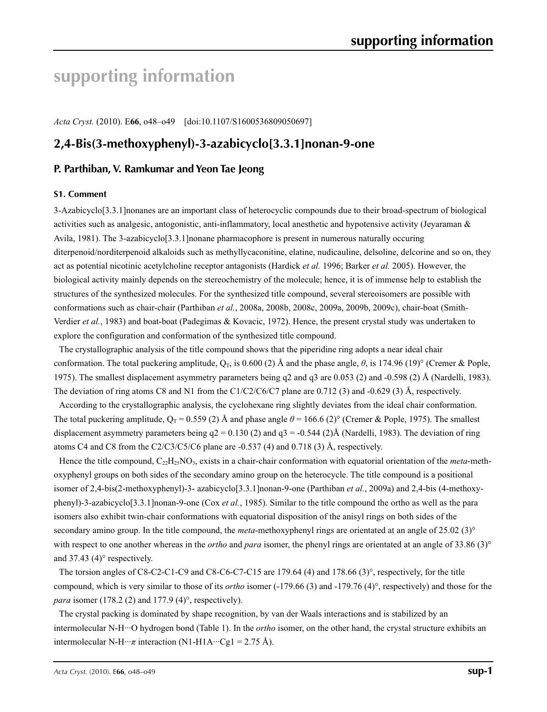# **supporting information**

*Acta Cryst.* (2010). E**66**, o48–o49 [doi:10.1107/S1600536809050697]

# **2,4-Bis(3-methoxyphenyl)-3-azabicyclo[3.3.1]nonan-9-one**

# **P. Parthiban, V. Ramkumar and Yeon Tae Jeong**

#### **S1. Comment**

3-Azabicyclo[3.3.1]nonanes are an important class of heterocyclic compounds due to their broad-spectrum of biological activities such as analgesic, antogonistic, anti-inflammatory, local anesthetic and hypotensive activity (Jeyaraman & Avila, 1981). The 3-azabicyclo<sup>[3.3.1]</sup> nonane pharmacophore is present in numerous naturally occuring diterpenoid/norditerpenoid alkaloids such as methyllycaconitine, elatine, nudicauline, delsoline, delcorine and so on, they act as potential nicotinic acetylcholine receptor antagonists (Hardick *et al.* 1996; Barker *et al.* 2005). However, the biological activity mainly depends on the stereochemistry of the molecule; hence, it is of immense help to establish the structures of the synthesized molecules. For the synthesized title compound, several stereoisomers are possible with conformations such as chair-chair (Parthiban *et al.*, 2008a, 2008b, 2008c, 2009a, 2009b, 2009c), chair-boat (Smith-Verdier *et al.*, 1983) and boat-boat (Padegimas & Kovacic, 1972). Hence, the present crystal study was undertaken to explore the configuration and conformation of the synthesized title compound.

The crystallographic analysis of the title compound shows that the piperidine ring adopts a near ideal chair conformation. The total puckering amplitude,  $Q_T$ , is 0.600 (2) Å and the phase angle,  $\theta$ , is 174.96 (19)° (Cremer & Pople, 1975). The smallest displacement asymmetry parameters being q2 and q3 are 0.053 (2) and -0.598 (2) Å (Nardelli, 1983). The deviation of ring atoms C8 and N1 from the C1/C2/C6/C7 plane are 0.712 (3) and -0.629 (3) Å, respectively.

According to the crystallographic analysis, the cyclohexane ring slightly deviates from the ideal chair conformation. The total puckering amplitude,  $Q_T = 0.559$  (2) Å and phase angle  $\theta = 166.6$  (2)° (Cremer & Pople, 1975). The smallest displacement asymmetry parameters being  $q2 = 0.130(2)$  and  $q3 = -0.544(2)$ Å (Nardelli, 1983). The deviation of ring atoms C4 and C8 from the C2/C3/C5/C6 plane are  $-0.537$  (4) and 0.718 (3) Å, respectively.

Hence the title compound, C22H25NO3, exists in a chair-chair conformation with equatorial orientation of the *meta*-methoxyphenyl groups on both sides of the secondary amino group on the heterocycle. The title compound is a positional isomer of 2,4-bis(2-methoxyphenyl)-3- azabicyclo[3.3.1]nonan-9-one (Parthiban *et al.*, 2009a) and 2,4-bis (4-methoxyphenyl)-3-azabicyclo[3.3.1]nonan-9-one (Cox *et al.*, 1985). Similar to the title compound the ortho as well as the para isomers also exhibit twin-chair conformations with equatorial disposition of the anisyl rings on both sides of the secondary amino group. In the title compound, the *meta*-methoxyphenyl rings are orientated at an angle of 25.02 (3)<sup>°</sup> with respect to one another whereas in the *ortho* and *para* isomer, the phenyl rings are orientated at an angle of 33.86 (3)° and 37.43 (4)° respectively.

The torsion angles of C8-C2-C1-C9 and C8-C6-C7-C15 are 179.64 (4) and 178.66 (3)°, respectively, for the title compound, which is very similar to those of its *ortho* isomer (-179.66 (3) and -179.76 (4)°, respectively) and those for the *para* isomer (178.2 (2) and 177.9 (4)<sup>°</sup>, respectively).

The crystal packing is dominated by shape recognition, by van der Waals interactions and is stabilized by an intermolecular N-H···O hydrogen bond (Table 1). In the *ortho* isomer, on the other hand, the crystal structure exhibits an intermolecular N-H···*π* interaction (N1-H1A···Cg1 = 2.75 Å).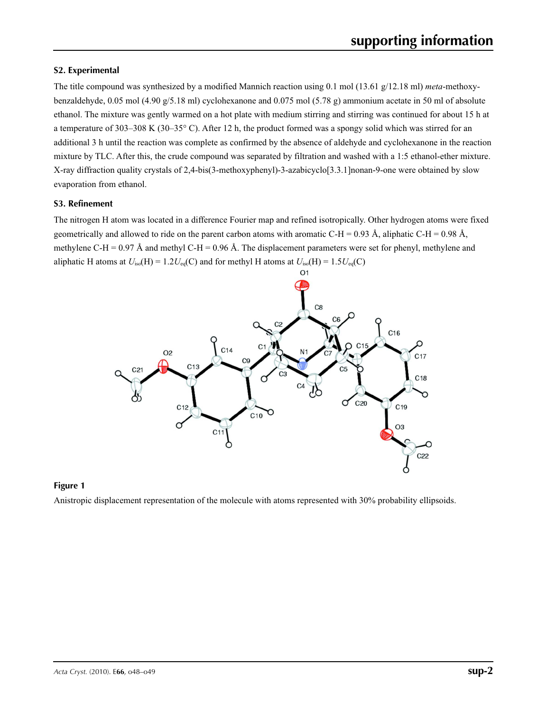# **S2. Experimental**

The title compound was synthesized by a modified Mannich reaction using 0.1 mol (13.61 g/12.18 ml) *meta*-methoxybenzaldehyde, 0.05 mol (4.90 g/5.18 ml) cyclohexanone and 0.075 mol (5.78 g) ammonium acetate in 50 ml of absolute ethanol. The mixture was gently warmed on a hot plate with medium stirring and stirring was continued for about 15 h at a temperature of 303–308 K (30–35 $\degree$ C). After 12 h, the product formed was a spongy solid which was stirred for an additional 3 h until the reaction was complete as confirmed by the absence of aldehyde and cyclohexanone in the reaction mixture by TLC. After this, the crude compound was separated by filtration and washed with a 1:5 ethanol-ether mixture. X-ray diffraction quality crystals of 2,4-bis(3-methoxyphenyl)-3-azabicyclo[3.3.1]nonan-9-one were obtained by slow evaporation from ethanol.

# **S3. Refinement**

The nitrogen H atom was located in a difference Fourier map and refined isotropically. Other hydrogen atoms were fixed geometrically and allowed to ride on the parent carbon atoms with aromatic C-H = 0.93 Å, aliphatic C-H = 0.98 Å, methylene C-H = 0.97 Å and methyl C-H = 0.96 Å. The displacement parameters were set for phenyl, methylene and aliphatic H atoms at  $U_{iso}(H) = 1.2U_{eq}(C)$  and for methyl H atoms at  $U_{iso}(H) = 1.5U_{eq}(C)$ 



## **Figure 1**

Anistropic displacement representation of the molecule with atoms represented with 30% probability ellipsoids.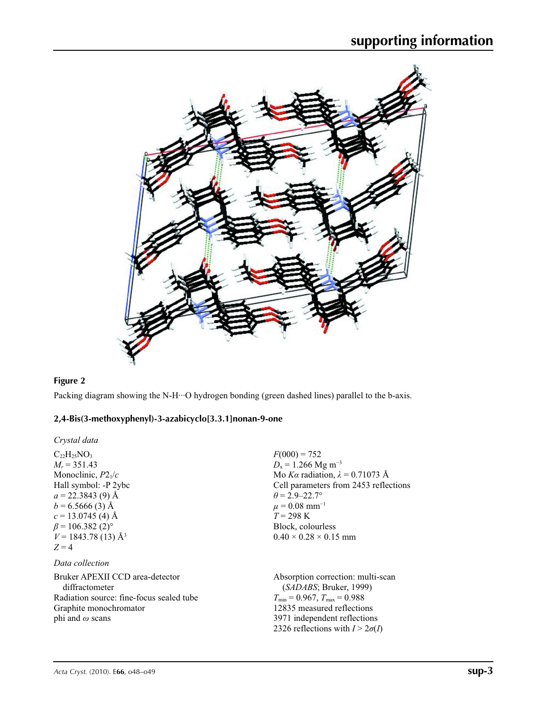

## **Figure 2**

Packing diagram showing the N-H···O hydrogen bonding (green dashed lines) parallel to the b-axis.

## **2,4-Bis(3-methoxyphenyl)-3-azabicyclo[3.3.1]nonan-9-one**

*Crystal data*

 $C_{22}H_{25}NO_3$  $M_r = 351.43$ Monoclinic, *P*21/*c* Hall symbol: -P 2ybc  $a = 22.3843(9)$  Å  $b = 6.5666(3)$  Å  $c = 13.0745$  (4) Å  $\beta$  = 106.382 (2)<sup>o</sup>  $V = 1843.78(13)$  Å<sup>3</sup>  $Z = 4$ 

# *Data collection*

Bruker APEXII CCD area-detector diffractometer Radiation source: fine-focus sealed tube Graphite monochromator phi and *ω* scans

 $F(000) = 752$  $D_{\rm x} = 1.266$  Mg m<sup>-3</sup> Mo *Kα* radiation,  $\lambda = 0.71073$  Å Cell parameters from 2453 reflections  $\theta$  = 2.9–22.7°  $\mu = 0.08$  mm<sup>-1</sup>  $T = 298 \text{ K}$ Block, colourless  $0.40 \times 0.28 \times 0.15$  mm

Absorption correction: multi-scan (*SADABS*; Bruker, 1999)  $T_{\text{min}} = 0.967, T_{\text{max}} = 0.988$ 12835 measured reflections 3971 independent reflections 2326 reflections with  $I > 2\sigma(I)$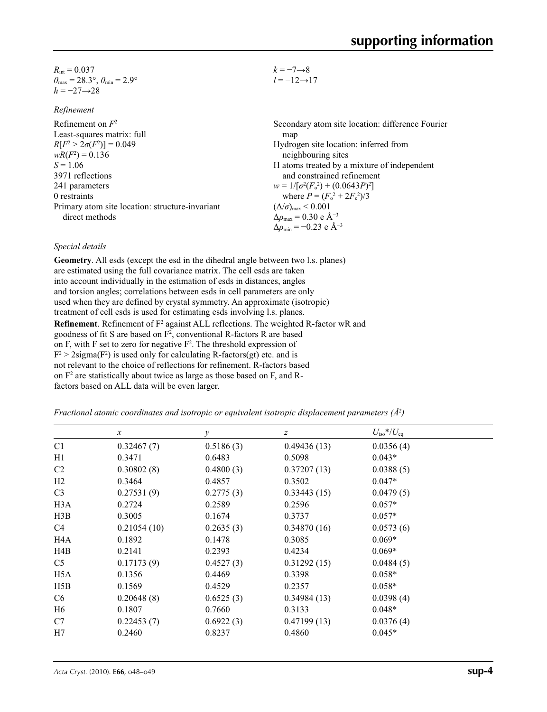| $R_{\text{int}} = 0.037$                                                |
|-------------------------------------------------------------------------|
| $\theta_{\text{max}} = 28.3^{\circ}, \theta_{\text{min}} = 2.9^{\circ}$ |
| $h = -27 \rightarrow 28$                                                |

*Refinement*

| $-7 \rightarrow 8$<br>$k =$    |  |
|--------------------------------|--|
| $=-12 \rightarrow 17$<br>$l =$ |  |

| <i>iconcincin</i>                               |                                                    |
|-------------------------------------------------|----------------------------------------------------|
| Refinement on $F^2$                             | Secondary atom site location: difference Fourier   |
| Least-squares matrix: full                      | map                                                |
| $R[F^2 > 2\sigma(F^2)] = 0.049$                 | Hydrogen site location: inferred from              |
| $wR(F^2) = 0.136$                               | neighbouring sites                                 |
| $S = 1.06$                                      | H atoms treated by a mixture of independent        |
| 3971 reflections                                | and constrained refinement                         |
| 241 parameters                                  | $w = 1/[\sigma^2(F_0^2) + (0.0643P)^2]$            |
| 0 restraints                                    | where $P = (F_o^2 + 2F_c^2)/3$                     |
| Primary atom site location: structure-invariant | $(\Delta/\sigma)_{\text{max}}$ < 0.001             |
| direct methods                                  | $\Delta\rho_{\text{max}} = 0.30$ e Å <sup>-3</sup> |
|                                                 | $\Delta\rho_{\rm min} = -0.23$ e Å <sup>-3</sup>   |

# *Special details*

**Geometry**. All esds (except the esd in the dihedral angle between two l.s. planes) are estimated using the full covariance matrix. The cell esds are taken into account individually in the estimation of esds in distances, angles and torsion angles; correlations between esds in cell parameters are only used when they are defined by crystal symmetry. An approximate (isotropic) treatment of cell esds is used for estimating esds involving l.s. planes. **Refinement**. Refinement of F<sup>2</sup> against ALL reflections. The weighted R-factor wR and goodness of fit S are based on  $F^2$ , conventional R-factors R are based on F, with F set to zero for negative  $F^2$ . The threshold expression of  $F^2 > 2$ sigma( $F^2$ ) is used only for calculating R-factors(gt) etc. and is not relevant to the choice of reflections for refinement. R-factors based on F2 are statistically about twice as large as those based on F, and Rfactors based on ALL data will be even larger.

*Fractional atomic coordinates and isotropic or equivalent isotropic displacement parameters (Å<sup>2</sup>)* 

|                  | $\mathcal{X}$ | $\mathcal{Y}$ | $\boldsymbol{z}$ | $U_{\rm iso}$ */ $U_{\rm eq}$ |
|------------------|---------------|---------------|------------------|-------------------------------|
| C <sub>1</sub>   | 0.32467(7)    | 0.5186(3)     | 0.49436(13)      | 0.0356(4)                     |
| H1               | 0.3471        | 0.6483        | 0.5098           | $0.043*$                      |
| C <sub>2</sub>   | 0.30802(8)    | 0.4800(3)     | 0.37207(13)      | 0.0388(5)                     |
| H2               | 0.3464        | 0.4857        | 0.3502           | $0.047*$                      |
| C <sub>3</sub>   | 0.27531(9)    | 0.2775(3)     | 0.33443(15)      | 0.0479(5)                     |
| H <sub>3</sub> A | 0.2724        | 0.2589        | 0.2596           | $0.057*$                      |
| H3B              | 0.3005        | 0.1674        | 0.3737           | $0.057*$                      |
| C4               | 0.21054(10)   | 0.2635(3)     | 0.34870(16)      | 0.0573(6)                     |
| H <sub>4</sub> A | 0.1892        | 0.1478        | 0.3085           | $0.069*$                      |
| H4B              | 0.2141        | 0.2393        | 0.4234           | $0.069*$                      |
| C <sub>5</sub>   | 0.17173(9)    | 0.4527(3)     | 0.31292(15)      | 0.0484(5)                     |
| H <sub>5</sub> A | 0.1356        | 0.4469        | 0.3398           | $0.058*$                      |
| H5B              | 0.1569        | 0.4529        | 0.2357           | $0.058*$                      |
| C <sub>6</sub>   | 0.20648(8)    | 0.6525(3)     | 0.34984(13)      | 0.0398(4)                     |
| H6               | 0.1807        | 0.7660        | 0.3133           | $0.048*$                      |
| C7               | 0.22453(7)    | 0.6922(3)     | 0.47199(13)      | 0.0376(4)                     |
| H7               | 0.2460        | 0.8237        | 0.4860           | $0.045*$                      |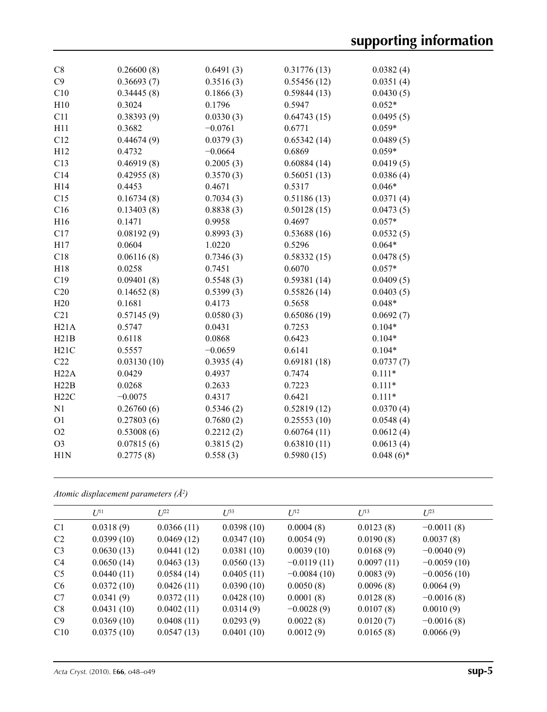| C8             | 0.26600(8)  | 0.6491(3) | 0.31776(13) | 0.0382(4)    |
|----------------|-------------|-----------|-------------|--------------|
| C9             | 0.36693(7)  | 0.3516(3) | 0.55456(12) | 0.0351(4)    |
| C10            | 0.34445(8)  | 0.1866(3) | 0.59844(13) | 0.0430(5)    |
| H10            | 0.3024      | 0.1796    | 0.5947      | $0.052*$     |
| C11            | 0.38393(9)  | 0.0330(3) | 0.64743(15) | 0.0495(5)    |
| H11            | 0.3682      | $-0.0761$ | 0.6771      | $0.059*$     |
| C12            | 0.44674(9)  | 0.0379(3) | 0.65342(14) | 0.0489(5)    |
| H12            | 0.4732      | $-0.0664$ | 0.6869      | $0.059*$     |
| C13            | 0.46919(8)  | 0.2005(3) | 0.60884(14) | 0.0419(5)    |
| C14            | 0.42955(8)  | 0.3570(3) | 0.56051(13) | 0.0386(4)    |
| H14            | 0.4453      | 0.4671    | 0.5317      | $0.046*$     |
| C15            | 0.16734(8)  | 0.7034(3) | 0.51186(13) | 0.0371(4)    |
| C16            | 0.13403(8)  | 0.8838(3) | 0.50128(15) | 0.0473(5)    |
| H16            | 0.1471      | 0.9958    | 0.4697      | $0.057*$     |
| C17            | 0.08192(9)  | 0.8993(3) | 0.53688(16) | 0.0532(5)    |
| H17            | 0.0604      | 1.0220    | 0.5296      | $0.064*$     |
| C18            | 0.06116(8)  | 0.7346(3) | 0.58332(15) | 0.0478(5)    |
| H18            | 0.0258      | 0.7451    | 0.6070      | $0.057*$     |
| C19            | 0.09401(8)  | 0.5548(3) | 0.59381(14) | 0.0409(5)    |
| C20            | 0.14652(8)  | 0.5399(3) | 0.55826(14) | 0.0403(5)    |
| H20            | 0.1681      | 0.4173    | 0.5658      | $0.048*$     |
| C21            | 0.57145(9)  | 0.0580(3) | 0.65086(19) | 0.0692(7)    |
| H21A           | 0.5747      | 0.0431    | 0.7253      | $0.104*$     |
| H21B           | 0.6118      | 0.0868    | 0.6423      | $0.104*$     |
| H21C           | 0.5557      | $-0.0659$ | 0.6141      | $0.104*$     |
| C22            | 0.03130(10) | 0.3935(4) | 0.69181(18) | 0.0737(7)    |
| H22A           | 0.0429      | 0.4937    | 0.7474      | $0.111*$     |
| H22B           | 0.0268      | 0.2633    | 0.7223      | $0.111*$     |
| H22C           | $-0.0075$   | 0.4317    | 0.6421      | $0.111*$     |
| N1             | 0.26760(6)  | 0.5346(2) | 0.52819(12) | 0.0370(4)    |
| O <sub>1</sub> | 0.27803(6)  | 0.7680(2) | 0.25553(10) | 0.0548(4)    |
| O2             | 0.53008(6)  | 0.2212(2) | 0.60764(11) | 0.0612(4)    |
| O <sub>3</sub> | 0.07815(6)  | 0.3815(2) | 0.63810(11) | 0.0613(4)    |
| H1N            | 0.2775(8)   | 0.558(3)  | 0.5980(15)  | $0.048(6)$ * |
|                |             |           |             |              |

*Atomic displacement parameters (Å2 )*

|                | $U^{11}$   | $L^{22}$   | $U^{33}$   | $U^{12}$      | $U^{13}$   | $L^{23}$      |
|----------------|------------|------------|------------|---------------|------------|---------------|
| C <sub>1</sub> | 0.0318(9)  | 0.0366(11) | 0.0398(10) | 0.0004(8)     | 0.0123(8)  | $-0.0011(8)$  |
| C <sub>2</sub> | 0.0399(10) | 0.0469(12) | 0.0347(10) | 0.0054(9)     | 0.0190(8)  | 0.0037(8)     |
| C <sub>3</sub> | 0.0630(13) | 0.0441(12) | 0.0381(10) | 0.0039(10)    | 0.0168(9)  | $-0.0040(9)$  |
| C <sub>4</sub> | 0.0650(14) | 0.0463(13) | 0.0560(13) | $-0.0119(11)$ | 0.0097(11) | $-0.0059(10)$ |
| C <sub>5</sub> | 0.0440(11) | 0.0584(14) | 0.0405(11) | $-0.0084(10)$ | 0.0083(9)  | $-0.0056(10)$ |
| C <sub>6</sub> | 0.0372(10) | 0.0426(11) | 0.0390(10) | 0.0050(8)     | 0.0096(8)  | 0.0064(9)     |
| C7             | 0.0341(9)  | 0.0372(11) | 0.0428(10) | 0.0001(8)     | 0.0128(8)  | $-0.0016(8)$  |
| C8             | 0.0431(10) | 0.0402(11) | 0.0314(9)  | $-0.0028(9)$  | 0.0107(8)  | 0.0010(9)     |
| C9             | 0.0369(10) | 0.0408(11) | 0.0293(9)  | 0.0022(8)     | 0.0120(7)  | $-0.0016(8)$  |
| C10            | 0.0375(10) | 0.0547(13) | 0.0401(10) | 0.0012(9)     | 0.0165(8)  | 0.0066(9)     |
|                |            |            |            |               |            |               |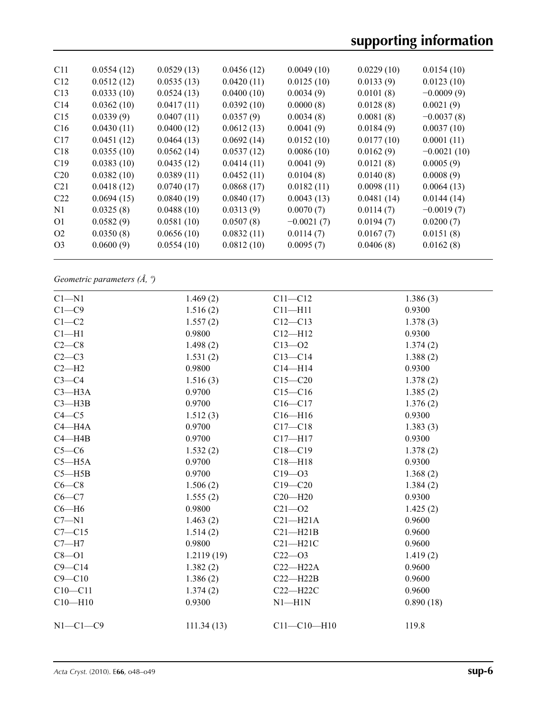| C <sub>11</sub> | 0.0554(12) | 0.0529(13) | 0.0456(12) | 0.0049(10)   | 0.0229(10) | 0.0154(10)    |
|-----------------|------------|------------|------------|--------------|------------|---------------|
| C12             | 0.0512(12) | 0.0535(13) | 0.0420(11) | 0.0125(10)   | 0.0133(9)  | 0.0123(10)    |
| C13             | 0.0333(10) | 0.0524(13) | 0.0400(10) | 0.0034(9)    | 0.0101(8)  | $-0.0009(9)$  |
| C14             | 0.0362(10) | 0.0417(11) | 0.0392(10) | 0.0000(8)    | 0.0128(8)  | 0.0021(9)     |
| C15             | 0.0339(9)  | 0.0407(11) | 0.0357(9)  | 0.0034(8)    | 0.0081(8)  | $-0.0037(8)$  |
| C16             | 0.0430(11) | 0.0400(12) | 0.0612(13) | 0.0041(9)    | 0.0184(9)  | 0.0037(10)    |
| C17             | 0.0451(12) | 0.0464(13) | 0.0692(14) | 0.0152(10)   | 0.0177(10) | 0.0001(11)    |
| C18             | 0.0355(10) | 0.0562(14) | 0.0537(12) | 0.0086(10)   | 0.0162(9)  | $-0.0021(10)$ |
| C19             | 0.0383(10) | 0.0435(12) | 0.0414(11) | 0.0041(9)    | 0.0121(8)  | 0.0005(9)     |
| C <sub>20</sub> | 0.0382(10) | 0.0389(11) | 0.0452(11) | 0.0104(8)    | 0.0140(8)  | 0.0008(9)     |
| C <sub>21</sub> | 0.0418(12) | 0.0740(17) | 0.0868(17) | 0.0182(11)   | 0.0098(11) | 0.0064(13)    |
| C22             | 0.0694(15) | 0.0840(19) | 0.0840(17) | 0.0043(13)   | 0.0481(14) | 0.0144(14)    |
| N <sub>1</sub>  | 0.0325(8)  | 0.0488(10) | 0.0313(9)  | 0.0070(7)    | 0.0114(7)  | $-0.0019(7)$  |
| O <sub>1</sub>  | 0.0582(9)  | 0.0581(10) | 0.0507(8)  | $-0.0021(7)$ | 0.0194(7)  | 0.0200(7)     |
| O <sub>2</sub>  | 0.0350(8)  | 0.0656(10) | 0.0832(11) | 0.0114(7)    | 0.0167(7)  | 0.0151(8)     |
| O <sub>3</sub>  | 0.0600(9)  | 0.0554(10) | 0.0812(10) | 0.0095(7)    | 0.0406(8)  | 0.0162(8)     |
|                 |            |            |            |              |            |               |

*Geometric parameters (Å, º)*

| 1.469(2)   | $C11 - C12$          | 1.386(3)  |
|------------|----------------------|-----------|
| 1.516(2)   | $C11 - H11$          | 0.9300    |
| 1.557(2)   | $C12 - C13$          | 1.378(3)  |
| 0.9800     | $C12 - H12$          | 0.9300    |
| 1.498(2)   | $C13 - 02$           | 1.374(2)  |
| 1.531(2)   | $C13 - C14$          | 1.388(2)  |
| 0.9800     | $C14 - H14$          | 0.9300    |
| 1.516(3)   | $C15 - C20$          | 1.378(2)  |
| 0.9700     | $C15 - C16$          | 1.385(2)  |
| 0.9700     | $C16 - C17$          | 1.376(2)  |
| 1.512(3)   | $C16 - H16$          | 0.9300    |
| 0.9700     | $C17 - C18$          | 1.383(3)  |
| 0.9700     | $C17 - H17$          | 0.9300    |
|            | $C18 - C19$          | 1.378(2)  |
| 0.9700     | $C18 - H18$          | 0.9300    |
| 0.9700     | $C19 - 03$           | 1.368(2)  |
| 1.506(2)   | $C19 - C20$          | 1.384(2)  |
|            | $C20 - H20$          | 0.9300    |
| 0.9800     | $C21 - 02$           | 1.425(2)  |
| 1.463(2)   | $C21 - H21A$         | 0.9600    |
| 1.514(2)   | $C21 - H21B$         | 0.9600    |
| 0.9800     | $C21 - H21C$         | 0.9600    |
| 1.2119(19) | $C22 - 03$           | 1.419(2)  |
| 1.382(2)   | $C22-H22A$           | 0.9600    |
| 1.386(2)   | $C22 - H22B$         | 0.9600    |
| 1.374(2)   | $C22 - H22C$         | 0.9600    |
| 0.9300     | $N1 - H1N$           | 0.890(18) |
| 111.34(13) | $C11 - C10 - H10$    | 119.8     |
|            | 1.532(2)<br>1.555(2) |           |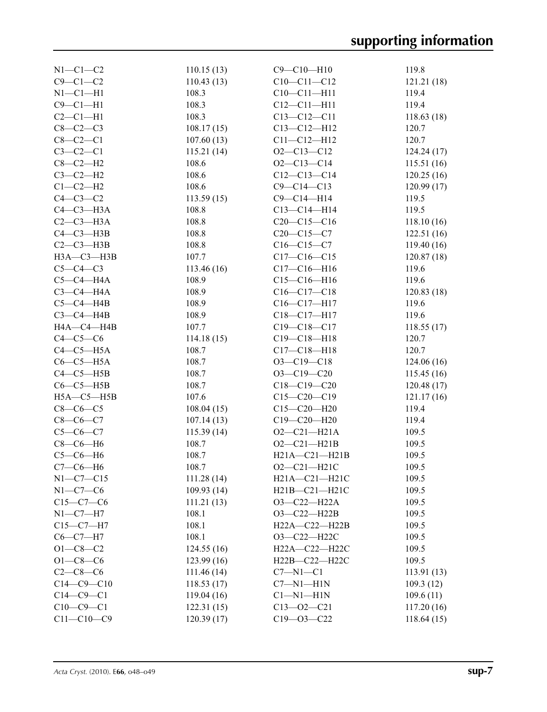| $N1-C1-C2$       | 110.15(13) | $C9 - C10 - H10$    | 119.8      |
|------------------|------------|---------------------|------------|
| $C9 - C1 - C2$   | 110.43(13) | $C10-C11-C12$       | 121.21(18) |
| $N1-C1-H1$       | 108.3      | $C10-C11-H11$       | 119.4      |
| $C9 - C1 - H1$   | 108.3      | $C12 - C11 - H11$   | 119.4      |
| $C2-C1-H1$       | 108.3      | $C13 - C12 - C11$   | 118.63(18) |
| $C8-C2-C3$       | 108.17(15) | $C13 - C12 - H12$   | 120.7      |
| $C8-C2-C1$       | 107.60(13) | $C11 - C12 - H12$   | 120.7      |
| $C3-C2-C1$       | 115.21(14) | $O2 - C13 - C12$    | 124.24(17) |
| $C8-C2-H2$       | 108.6      | $O2 - C13 - C14$    | 115.51(16) |
| $C3-C2-H2$       | 108.6      | $C12-C13-C14$       | 120.25(16) |
| $C1-C2-H2$       | 108.6      | $C9 - C14 - C13$    | 120.99(17) |
| $C4-C3-C2$       | 113.59(15) | $C9 - C14 - H14$    | 119.5      |
| $C4-C3-H3A$      | 108.8      | $C13-C14-H14$       | 119.5      |
| $C2-C3-H3A$      | 108.8      | $C20-C15-C16$       |            |
|                  |            |                     | 118.10(16) |
| $C4-C3-H3B$      | 108.8      | $C20-C15-C7$        | 122.51(16) |
| $C2-C3-H3B$      | 108.8      | $C16-C15-C7$        | 119.40(16) |
| НЗА-СЗ-НЗВ       | 107.7      | $C17-C16-C15$       | 120.87(18) |
| $C5-C4-C3$       | 113.46(16) | $C17 - C16 - H16$   | 119.6      |
| $C5-C4-H4A$      | 108.9      | $C15-C16-H16$       | 119.6      |
| $C3-C4-H4A$      | 108.9      | $C16-C17-C18$       | 120.83(18) |
| $C5-C4-HAB$      | 108.9      | $C16-C17-H17$       | 119.6      |
| $C3-C4-HAB$      | 108.9      | C18-C17-H17         | 119.6      |
| HA—C4—H4B        | 107.7      | $C19 - C18 - C17$   | 118.55(17) |
| $C4-C5-C6$       | 114.18(15) | $C19 - C18 - H18$   | 120.7      |
| $C4-C5-H5A$      | 108.7      | $C17 - C18 - H18$   | 120.7      |
| $C6-C5-H5A$      | 108.7      | $O3 - C19 - C18$    | 124.06(16) |
| $C4 - C5 - H5B$  | 108.7      | $O3-C19-C20$        | 115.45(16) |
| $C6-C5-H5B$      | 108.7      | $C18 - C19 - C20$   | 120.48(17) |
| $H5A - C5 - H5B$ | 107.6      | $C15-C20-C19$       | 121.17(16) |
| $C8-C6-C5$       | 108.04(15) | $C15 - C20 - H20$   | 119.4      |
| $C8-C6-C7$       | 107.14(13) | $C19 - C20 - H20$   | 119.4      |
| $C5 - C6 - C7$   | 115.39(14) | $O2 - C21 - H21A$   | 109.5      |
| $C8-C6-H6$       | 108.7      | $O2 - C21 - H21B$   | 109.5      |
| $C5-C6-H6$       | 108.7      | $H21A - C21 - H21B$ | 109.5      |
| $C7-C6-H6$       | 108.7      | $O2 - C21 - H21C$   | 109.5      |
| $N1-C7-C15$      |            | H21A-C21-H21C       | 109.5      |
| $N1-C7-C6$       | 111.28(14) |                     | 109.5      |
|                  | 109.93(14) | H21B-C21-H21C       |            |
| $C15-C7-C6$      | 111.21(13) | O3-C22-H22A         | 109.5      |
| $N1-C7-H7$       | 108.1      | $O3-C22-H22B$       | 109.5      |
| $C15 - C7 - H7$  | 108.1      | H22A-C22-H22B       | 109.5      |
| $C6-C7-H7$       | 108.1      | O3-C22-H22C         | 109.5      |
| $O1 - C8 - C2$   | 124.55(16) | H22A-C22-H22C       | 109.5      |
| $O1 - C8 - C6$   | 123.99(16) | H22B-C22-H22C       | 109.5      |
| $C2-C8-C6$       | 111.46(14) | $C7 - N1 - C1$      | 113.91(13) |
| $C14 - C9 - C10$ | 118.53(17) | $C7 - N1 - H1N$     | 109.3(12)  |
| $C14-C9-C1$      | 119.04(16) | $Cl-M1-H1N$         | 109.6(11)  |
| $C10-C9-C1$      | 122.31(15) | $C13 - 02 - C21$    | 117.20(16) |
| $C11 - C10 - C9$ | 120.39(17) | $C19 - 03 - C22$    | 118.64(15) |